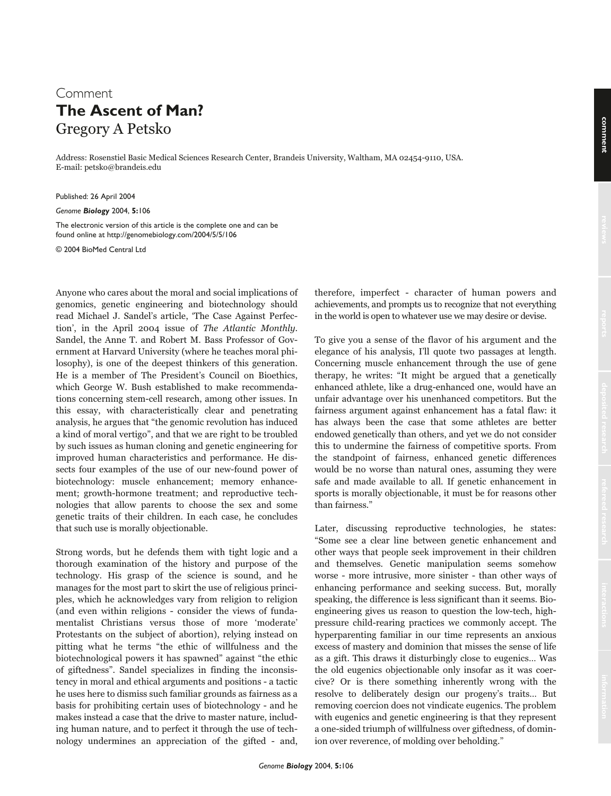## Comment **The Ascent of Man?** Gregory A Petsko

Address: Rosenstiel Basic Medical Sciences Research Center, Brandeis University, Waltham, MA 02454-9110, USA. E-mail: petsko@brandeis.edu

Published: 26 April 2004

*Genome Biology* 2004, **5:**106

The electronic version of this article is the complete one and can be found online at http://genomebiology.com/2004/5/5/106

© 2004 BioMed Central Ltd

Anyone who cares about the moral and social implications of genomics, genetic engineering and biotechnology should read Michael J. Sandel's article, 'The Case Against Perfection', in the April 2004 issue of The Atlantic Monthly. Sandel, the Anne T. and Robert M. Bass Professor of Government at Harvard University (where he teaches moral philosophy), is one of the deepest thinkers of this generation. He is a member of The President's Council on Bioethics, which George W. Bush established to make recommendations concerning stem-cell research, among other issues. In this essay, with characteristically clear and penetrating analysis, he argues that "the genomic revolution has induced a kind of moral vertigo", and that we are right to be troubled by such issues as human cloning and genetic engineering for improved human characteristics and performance. He dissects four examples of the use of our new-found power of biotechnology: muscle enhancement; memory enhancement; growth-hormone treatment; and reproductive technologies that allow parents to choose the sex and some genetic traits of their children. In each case, he concludes that such use is morally objectionable.

Strong words, but he defends them with tight logic and a thorough examination of the history and purpose of the technology. His grasp of the science is sound, and he manages for the most part to skirt the use of religious principles, which he acknowledges vary from religion to religion (and even within religions - consider the views of fundamentalist Christians versus those of more 'moderate' Protestants on the subject of abortion), relying instead on pitting what he terms "the ethic of willfulness and the biotechnological powers it has spawned" against "the ethic of giftedness". Sandel specializes in finding the inconsistency in moral and ethical arguments and positions - a tactic he uses here to dismiss such familiar grounds as fairness as a basis for prohibiting certain uses of biotechnology - and he makes instead a case that the drive to master nature, including human nature, and to perfect it through the use of technology undermines an appreciation of the gifted - and,

therefore, imperfect - character of human powers and achievements, and prompts us to recognize that not everything in the world is open to whatever use we may desire or devise.

To give you a sense of the flavor of his argument and the elegance of his analysis, I'll quote two passages at length. Concerning muscle enhancement through the use of gene therapy, he writes: "It might be argued that a genetically enhanced athlete, like a drug-enhanced one, would have an unfair advantage over his unenhanced competitors. But the fairness argument against enhancement has a fatal flaw: it has always been the case that some athletes are better endowed genetically than others, and yet we do not consider this to undermine the fairness of competitive sports. From the standpoint of fairness, enhanced genetic differences would be no worse than natural ones, assuming they were safe and made available to all. If genetic enhancement in sports is morally objectionable, it must be for reasons other than fairness."

Later, discussing reproductive technologies, he states: "Some see a clear line between genetic enhancement and other ways that people seek improvement in their children and themselves. Genetic manipulation seems somehow worse - more intrusive, more sinister - than other ways of enhancing performance and seeking success. But, morally speaking, the difference is less significant than it seems. Bioengineering gives us reason to question the low-tech, highpressure child-rearing practices we commonly accept. The hyperparenting familiar in our time represents an anxious excess of mastery and dominion that misses the sense of life as a gift. This draws it disturbingly close to eugenics… Was the old eugenics objectionable only insofar as it was coercive? Or is there something inherently wrong with the resolve to deliberately design our progeny's traits… But removing coercion does not vindicate eugenics. The problem with eugenics and genetic engineering is that they represent a one-sided triumph of willfulness over giftedness, of dominion over reverence, of molding over beholding."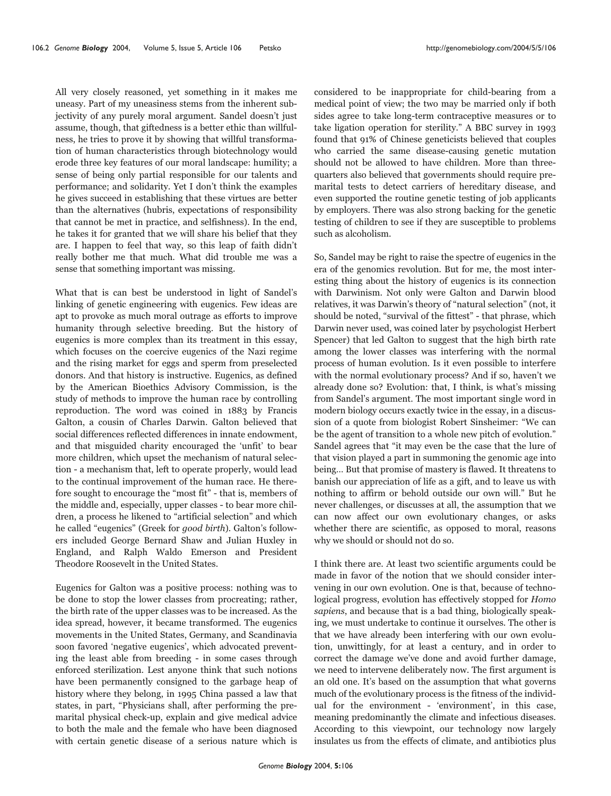All very closely reasoned, yet something in it makes me uneasy. Part of my uneasiness stems from the inherent subjectivity of any purely moral argument. Sandel doesn't just assume, though, that giftedness is a better ethic than willfulness, he tries to prove it by showing that willful transformation of human characteristics through biotechnology would erode three key features of our moral landscape: humility; a sense of being only partial responsible for our talents and performance; and solidarity. Yet I don't think the examples he gives succeed in establishing that these virtues are better than the alternatives (hubris, expectations of responsibility that cannot be met in practice, and selfishness). In the end, he takes it for granted that we will share his belief that they are. I happen to feel that way, so this leap of faith didn't really bother me that much. What did trouble me was a sense that something important was missing.

What that is can best be understood in light of Sandel's linking of genetic engineering with eugenics. Few ideas are apt to provoke as much moral outrage as efforts to improve humanity through selective breeding. But the history of eugenics is more complex than its treatment in this essay, which focuses on the coercive eugenics of the Nazi regime and the rising market for eggs and sperm from preselected donors. And that history is instructive. Eugenics, as defined by the American Bioethics Advisory Commission, is the study of methods to improve the human race by controlling reproduction. The word was coined in 1883 by Francis Galton, a cousin of Charles Darwin. Galton believed that social differences reflected differences in innate endowment, and that misguided charity encouraged the 'unfit' to bear more children, which upset the mechanism of natural selection - a mechanism that, left to operate properly, would lead to the continual improvement of the human race. He therefore sought to encourage the "most fit" - that is, members of the middle and, especially, upper classes - to bear more children, a process he likened to "artificial selection" and which he called "eugenics" (Greek for good birth). Galton's followers included George Bernard Shaw and Julian Huxley in England, and Ralph Waldo Emerson and President Theodore Roosevelt in the United States.

Eugenics for Galton was a positive process: nothing was to be done to stop the lower classes from procreating; rather, the birth rate of the upper classes was to be increased. As the idea spread, however, it became transformed. The eugenics movements in the United States, Germany, and Scandinavia soon favored 'negative eugenics', which advocated preventing the least able from breeding - in some cases through enforced sterilization. Lest anyone think that such notions have been permanently consigned to the garbage heap of history where they belong, in 1995 China passed a law that states, in part, "Physicians shall, after performing the premarital physical check-up, explain and give medical advice to both the male and the female who have been diagnosed with certain genetic disease of a serious nature which is

considered to be inappropriate for child-bearing from a medical point of view; the two may be married only if both sides agree to take long-term contraceptive measures or to take ligation operation for sterility." A BBC survey in 1993 found that 91% of Chinese geneticists believed that couples who carried the same disease-causing genetic mutation should not be allowed to have children. More than threequarters also believed that governments should require premarital tests to detect carriers of hereditary disease, and even supported the routine genetic testing of job applicants by employers. There was also strong backing for the genetic testing of children to see if they are susceptible to problems such as alcoholism.

So, Sandel may be right to raise the spectre of eugenics in the era of the genomics revolution. But for me, the most interesting thing about the history of eugenics is its connection with Darwinism. Not only were Galton and Darwin blood relatives, it was Darwin's theory of "natural selection" (not, it should be noted, "survival of the fittest" - that phrase, which Darwin never used, was coined later by psychologist Herbert Spencer) that led Galton to suggest that the high birth rate among the lower classes was interfering with the normal process of human evolution. Is it even possible to interfere with the normal evolutionary process? And if so, haven't we already done so? Evolution: that, I think, is what's missing from Sandel's argument. The most important single word in modern biology occurs exactly twice in the essay, in a discussion of a quote from biologist Robert Sinsheimer: "We can be the agent of transition to a whole new pitch of evolution." Sandel agrees that "it may even be the case that the lure of that vision played a part in summoning the genomic age into being… But that promise of mastery is flawed. It threatens to banish our appreciation of life as a gift, and to leave us with nothing to affirm or behold outside our own will." But he never challenges, or discusses at all, the assumption that we can now affect our own evolutionary changes, or asks whether there are scientific, as opposed to moral, reasons why we should or should not do so.

I think there are. At least two scientific arguments could be made in favor of the notion that we should consider intervening in our own evolution. One is that, because of technological progress, evolution has effectively stopped for Homo sapiens, and because that is a bad thing, biologically speaking, we must undertake to continue it ourselves. The other is that we have already been interfering with our own evolution, unwittingly, for at least a century, and in order to correct the damage we've done and avoid further damage, we need to intervene deliberately now. The first argument is an old one. It's based on the assumption that what governs much of the evolutionary process is the fitness of the individual for the environment - 'environment', in this case, meaning predominantly the climate and infectious diseases. According to this viewpoint, our technology now largely insulates us from the effects of climate, and antibiotics plus